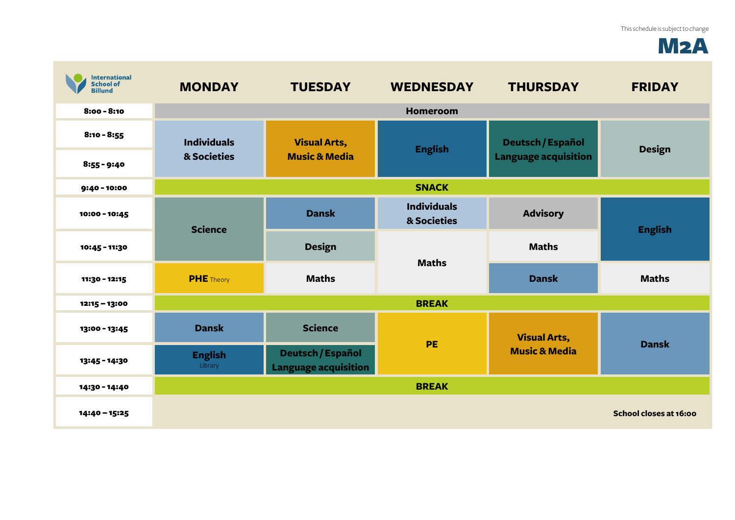## M2A

| <b>International</b><br><b>School of</b><br><b>Billund</b> | <b>MONDAY</b>                     | <b>TUESDAY</b>                                   | <b>WEDNESDAY</b>                  | <b>THURSDAY</b>                                  | <b>FRIDAY</b>          |
|------------------------------------------------------------|-----------------------------------|--------------------------------------------------|-----------------------------------|--------------------------------------------------|------------------------|
| $8:00 - 8:10$                                              |                                   |                                                  | <b>Homeroom</b>                   |                                                  |                        |
| $8:10 - 8:55$                                              | <b>Individuals</b><br>& Societies | <b>Visual Arts,</b><br><b>Music &amp; Media</b>  | <b>English</b>                    | Deutsch / Español<br><b>Language acquisition</b> | <b>Design</b>          |
| $8:55 - 9:40$                                              |                                   |                                                  |                                   |                                                  |                        |
| 9:40 - 10:00                                               | <b>SNACK</b>                      |                                                  |                                   |                                                  |                        |
| 10:00 - 10:45                                              | <b>Science</b>                    | <b>Dansk</b>                                     | <b>Individuals</b><br>& Societies | <b>Advisory</b>                                  | <b>English</b>         |
| 10:45 - 11:30                                              |                                   | <b>Design</b>                                    | <b>Maths</b>                      | <b>Maths</b>                                     |                        |
| 11:30 - 12:15                                              | <b>PHE</b> Theory                 | <b>Maths</b>                                     |                                   | <b>Dansk</b>                                     | <b>Maths</b>           |
| 12:15 - 13:00                                              |                                   |                                                  | <b>BREAK</b>                      |                                                  |                        |
| 13:00 - 13:45                                              | <b>Dansk</b>                      | <b>Science</b>                                   | PE                                | <b>Visual Arts,</b><br><b>Music &amp; Media</b>  | <b>Dansk</b>           |
| 13:45 - 14:30                                              | <b>English</b><br>Library         | Deutsch / Español<br><b>Language acquisition</b> |                                   |                                                  |                        |
| 14:30 - 14:40                                              |                                   |                                                  | <b>BREAK</b>                      |                                                  |                        |
| 14:40 - 15:25                                              |                                   |                                                  |                                   |                                                  | School closes at 16:00 |